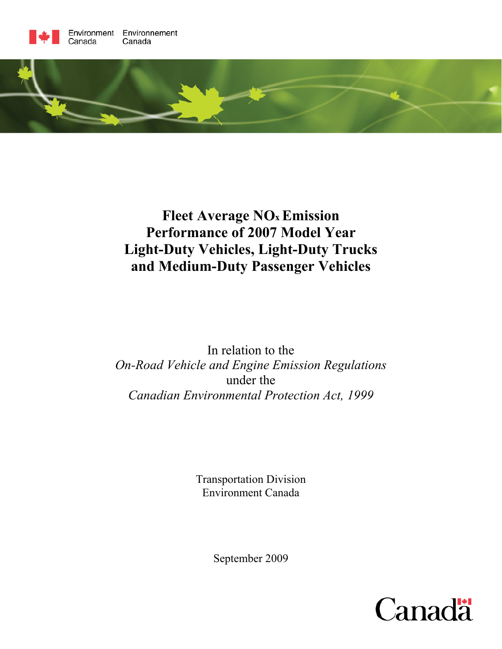



# **Fleet Average NOx Emission Performance of 2007 Model Year Light-Duty Vehicles, Light-Duty Trucks and Medium-Duty Passenger Vehicles**

In relation to the *On-Road Vehicle and Engine Emission Regulations*  under the *Canadian Environmental Protection Act, 1999* 

> Transportation Division Environment Canada

> > September 2009

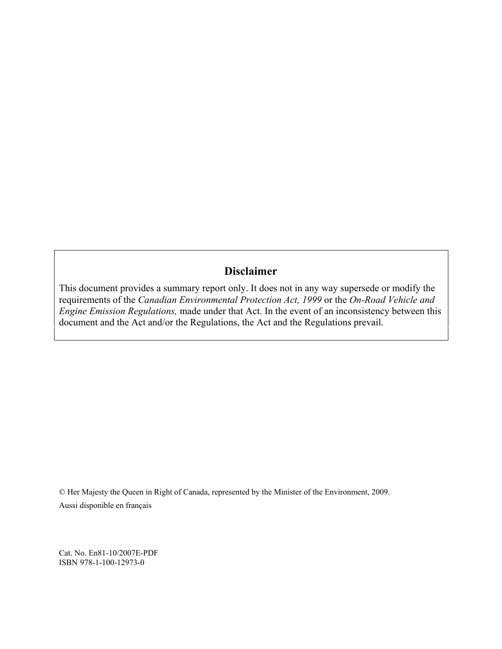## **Disclaimer**

This document provides a summary report only. It does not in any way supersede or modify the requirements of the *Canadian Environmental Protection Act, 1999* or the *On-Road Vehicle and Engine Emission Regulations,* made under that Act. In the event of an inconsistency between this document and the Act and/or the Regulations, the Act and the Regulations prevail.

© Her Majesty the Queen in Right of Canada, represented by the Minister of the Environment, 2009. Aussi disponible en français

Cat. No. En81-10/2007E-PDF ISBN 978-1-100-12973-0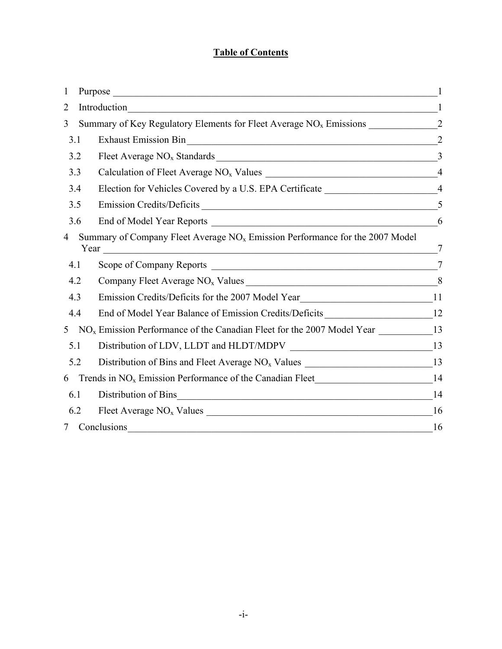## **Table of Contents**

| 1 |     |                                                                                                       |                |
|---|-----|-------------------------------------------------------------------------------------------------------|----------------|
| 2 |     | Introduction<br>$\frac{1}{2}$                                                                         |                |
| 3 |     | Summary of Key Regulatory Elements for Fleet Average NO <sub>x</sub> Emissions _____________________2 |                |
|   | 3.1 | <b>Exhaust Emission Bin</b>                                                                           |                |
|   | 3.2 |                                                                                                       |                |
|   | 3.3 | Calculation of Fleet Average NO <sub>x</sub> Values 14                                                |                |
|   | 3.4 | Election for Vehicles Covered by a U.S. EPA Certificate _________________________4                    |                |
|   | 3.5 | Emission Credits/Deficits                                                                             | 5              |
|   | 3.6 |                                                                                                       | 6              |
| 4 |     | Summary of Company Fleet Average $NOx$ Emission Performance for the 2007 Model                        | $\tau$         |
|   | 4.1 |                                                                                                       | $\overline{7}$ |
|   | 4.2 |                                                                                                       |                |
|   | 4.3 | Emission Credits/Deficits for the 2007 Model Year_______________________________11                    |                |
|   | 4.4 | End of Model Year Balance of Emission Credits/Deficits _________________________12                    |                |
| 5 |     | $NOx$ Emission Performance of the Canadian Fleet for the 2007 Model Year ________________13           |                |
|   | 5.1 |                                                                                                       |                |
|   | 5.2 | Distribution of Bins and Fleet Average NO <sub>x</sub> Values ____________________________13          |                |
| 6 |     |                                                                                                       |                |
|   | 6.1 | Distribution of Bins<br><u> 1989 - Jan Barbara, margaret eta biztanleria (h. 1989).</u>               | 14             |
|   | 6.2 |                                                                                                       | 16             |
|   |     | Conclusions                                                                                           | 16             |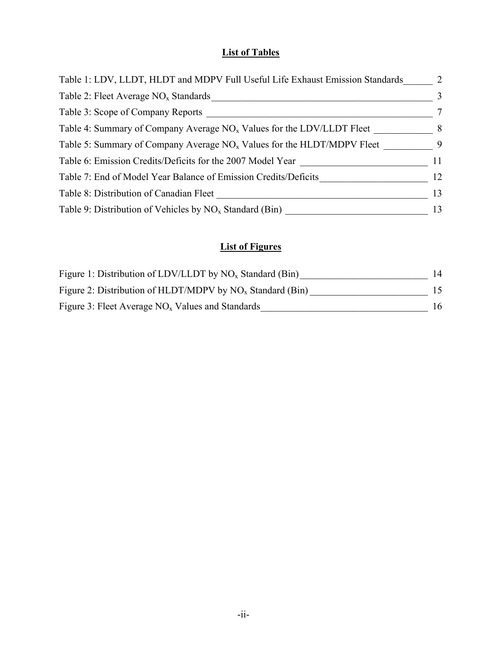## **List of Tables**

| Table 1: LDV, LLDT, HLDT and MDPV Full Useful Life Exhaust Emission Standards | 2  |
|-------------------------------------------------------------------------------|----|
| Table 2: Fleet Average $NOx$ Standards                                        | 3  |
| Table 3: Scope of Company Reports                                             | 7  |
| Table 4: Summary of Company Average $NOx$ Values for the LDV/LLDT Fleet       | 8  |
| Table 5: Summary of Company Average $NOx$ Values for the HLDT/MDPV Fleet      | 9  |
| Table 6: Emission Credits/Deficits for the 2007 Model Year                    | 11 |
| Table 7: End of Model Year Balance of Emission Credits/Deficits               | 12 |
| Table 8: Distribution of Canadian Fleet                                       | 13 |
| Table 9: Distribution of Vehicles by $NO_x$ Standard (Bin)                    | 13 |

## **List of Figures**

| Figure 1: Distribution of LDV/LLDT by $NO_x$ Standard (Bin)  | 14  |
|--------------------------------------------------------------|-----|
| Figure 2: Distribution of HLDT/MDPV by $NO_x$ Standard (Bin) | 15. |
| Figure 3: Fleet Average $NOx$ Values and Standards           | 16  |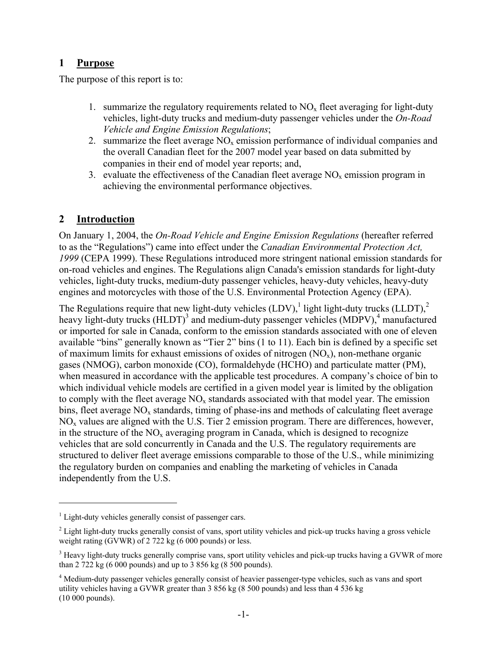## **1 Purpose**

The purpose of this report is to:

- 1. summarize the regulatory requirements related to  $NO<sub>x</sub>$  fleet averaging for light-duty vehicles, light-duty trucks and medium-duty passenger vehicles under the *On-Road Vehicle and Engine Emission Regulations*;
- 2. summarize the fleet average  $NO<sub>x</sub>$  emission performance of individual companies and the overall Canadian fleet for the 2007 model year based on data submitted by companies in their end of model year reports; and,
- 3. evaluate the effectiveness of the Canadian fleet average  $NO<sub>x</sub>$  emission program in achieving the environmental performance objectives.

## **2 Introduction**

1

On January 1, 2004, the *On-Road Vehicle and Engine Emission Regulations* (hereafter referred to as the "Regulations") came into effect under the *Canadian Environmental Protection Act, 1999* (CEPA 1999). These Regulations introduced more stringent national emission standards for on-road vehicles and engines. The Regulations align Canada's emission standards for light-duty vehicles, light-duty trucks, medium-duty passenger vehicles, heavy-duty vehicles, heavy-duty engines and motorcycles with those of the U.S. Environmental Protection Agency (EPA).

The Regulations require that new light-duty vehicles  $(LDV)$ , light light-duty trucks  $(LLDT)$ ,  $2$ heavy light-duty trucks (HLDT)<sup>3</sup> and medium-duty passenger vehicles (MDPV),<sup>4</sup> manufactured or imported for sale in Canada, conform to the emission standards associated with one of eleven available "bins" generally known as "Tier 2" bins (1 to 11). Each bin is defined by a specific set of maximum limits for exhaust emissions of oxides of nitrogen  $(NO_x)$ , non-methane organic gases (NMOG), carbon monoxide (CO), formaldehyde (HCHO) and particulate matter (PM), when measured in accordance with the applicable test procedures. A company's choice of bin to which individual vehicle models are certified in a given model year is limited by the obligation to comply with the fleet average  $NO<sub>x</sub>$  standards associated with that model year. The emission bins, fleet average  $NO<sub>x</sub>$  standards, timing of phase-ins and methods of calculating fleet average  $NO<sub>x</sub>$  values are aligned with the U.S. Tier 2 emission program. There are differences, however, in the structure of the  $NO<sub>x</sub>$  averaging program in Canada, which is designed to recognize vehicles that are sold concurrently in Canada and the U.S. The regulatory requirements are structured to deliver fleet average emissions comparable to those of the U.S., while minimizing the regulatory burden on companies and enabling the marketing of vehicles in Canada independently from the U.S.

<sup>&</sup>lt;sup>1</sup> Light-duty vehicles generally consist of passenger cars.

 $2$  Light light-duty trucks generally consist of vans, sport utility vehicles and pick-up trucks having a gross vehicle weight rating (GVWR) of 2 722 kg (6 000 pounds) or less.

<sup>&</sup>lt;sup>3</sup> Heavy light-duty trucks generally comprise vans, sport utility vehicles and pick-up trucks having a GVWR of more than 2 722 kg (6 000 pounds) and up to 3 856 kg (8 500 pounds).

<sup>&</sup>lt;sup>4</sup> Medium-duty passenger vehicles generally consist of heavier passenger-type vehicles, such as vans and sport utility vehicles having a GVWR greater than 3 856 kg (8 500 pounds) and less than 4 536 kg (10 000 pounds).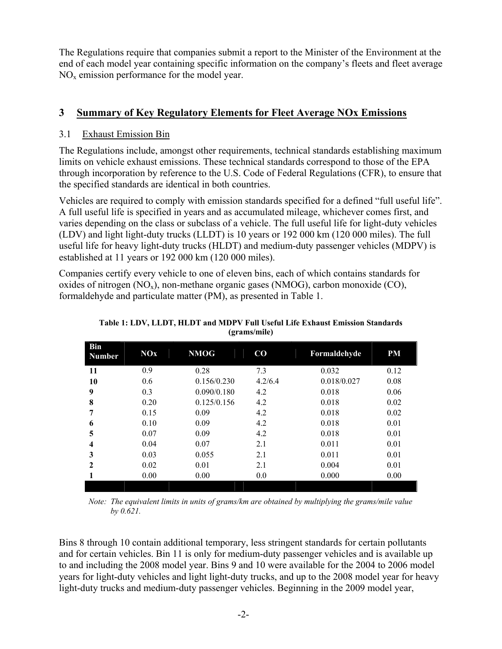The Regulations require that companies submit a report to the Minister of the Environment at the end of each model year containing specific information on the company's fleets and fleet average  $NO<sub>x</sub>$  emission performance for the model year.

## **3 Summary of Key Regulatory Elements for Fleet Average NOx Emissions**

### 3.1 Exhaust Emission Bin

The Regulations include, amongst other requirements, technical standards establishing maximum limits on vehicle exhaust emissions. These technical standards correspond to those of the EPA through incorporation by reference to the U.S. Code of Federal Regulations (CFR), to ensure that the specified standards are identical in both countries.

Vehicles are required to comply with emission standards specified for a defined "full useful life". A full useful life is specified in years and as accumulated mileage, whichever comes first, and varies depending on the class or subclass of a vehicle. The full useful life for light-duty vehicles (LDV) and light light-duty trucks (LLDT) is 10 years or 192 000 km (120 000 miles). The full useful life for heavy light-duty trucks (HLDT) and medium-duty passenger vehicles (MDPV) is established at 11 years or 192 000 km (120 000 miles).

Companies certify every vehicle to one of eleven bins, each of which contains standards for oxides of nitrogen  $(NO_x)$ , non-methane organic gases  $(NMOG)$ , carbon monoxide  $(CO)$ , formaldehyde and particulate matter (PM), as presented in Table 1.

| Bin<br><b>Number</b>    | <b>NOx</b> | <b>NMOG</b> | $\bf CO$ | Formaldehyde | <b>PM</b> |
|-------------------------|------------|-------------|----------|--------------|-----------|
| 11                      | 0.9        | 0.28        | 7.3      | 0.032        | 0.12      |
| 10                      | 0.6        | 0.156/0.230 | 4.2/6.4  | 0.018/0.027  | 0.08      |
| 9                       | 0.3        | 0.090/0.180 | 4.2      | 0.018        | 0.06      |
| 8                       | 0.20       | 0.125/0.156 | 4.2      | 0.018        | 0.02      |
| 7                       | 0.15       | 0.09        | 4.2      | 0.018        | 0.02      |
| 6                       | 0.10       | 0.09        | 4.2      | 0.018        | 0.01      |
| 5                       | 0.07       | 0.09        | 4.2      | 0.018        | 0.01      |
| $\overline{\mathbf{4}}$ | 0.04       | 0.07        | 2.1      | 0.011        | 0.01      |
| 3                       | 0.03       | 0.055       | 2.1      | 0.011        | 0.01      |
| $\mathbf{2}$            | 0.02       | 0.01        | 2.1      | 0.004        | 0.01      |
|                         | 0.00       | 0.00        | 0.0      | 0.000        | 0.00      |
|                         |            |             |          |              |           |

**Table 1: LDV, LLDT, HLDT and MDPV Full Useful Life Exhaust Emission Standards (grams/mile)** 

*Note: The equivalent limits in units of grams/km are obtained by multiplying the grams/mile value by 0.621.* 

Bins 8 through 10 contain additional temporary, less stringent standards for certain pollutants and for certain vehicles. Bin 11 is only for medium-duty passenger vehicles and is available up to and including the 2008 model year. Bins 9 and 10 were available for the 2004 to 2006 model years for light-duty vehicles and light light-duty trucks, and up to the 2008 model year for heavy light-duty trucks and medium-duty passenger vehicles. Beginning in the 2009 model year,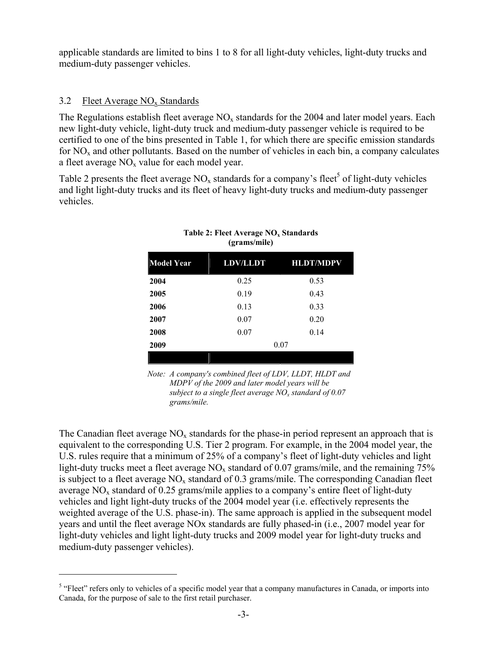applicable standards are limited to bins 1 to 8 for all light-duty vehicles, light-duty trucks and medium-duty passenger vehicles.

### 3.2 Fleet Average  $NO_x$  Standards

 $\overline{a}$ 

The Regulations establish fleet average  $NO<sub>x</sub>$  standards for the 2004 and later model years. Each new light-duty vehicle, light-duty truck and medium-duty passenger vehicle is required to be certified to one of the bins presented in Table 1, for which there are specific emission standards for  $NO<sub>x</sub>$  and other pollutants. Based on the number of vehicles in each bin, a company calculates a fleet average  $NO<sub>x</sub>$  value for each model year.

Table 2 presents the fleet average  $NO_x$  standards for a company's fleet<sup>5</sup> of light-duty vehicles and light light-duty trucks and its fleet of heavy light-duty trucks and medium-duty passenger vehicles.

| <b>LDV/LLDT</b> | <b>HLDT/MDPV</b> |
|-----------------|------------------|
| 0.25            | 0.53             |
| 0.19            | 0.43             |
| 0.13            | 0.33             |
| 0.07            | 0.20             |
| 0.07            | 0.14             |
|                 | 0.07             |
|                 |                  |

#### Table 2: Fleet Average NO<sub>x</sub> Standards **(grams/mile)**

*Note: A company's combined fleet of LDV, LLDT, HLDT and MDPV of the 2009 and later model years will be subject to a single fleet average NOx standard of 0.07 grams/mile.*

The Canadian fleet average  $NO<sub>x</sub>$  standards for the phase-in period represent an approach that is equivalent to the corresponding U.S. Tier 2 program. For example, in the 2004 model year, the U.S. rules require that a minimum of 25% of a company's fleet of light-duty vehicles and light light-duty trucks meet a fleet average  $NO<sub>x</sub>$  standard of 0.07 grams/mile, and the remaining 75% is subject to a fleet average  $NO<sub>x</sub>$  standard of 0.3 grams/mile. The corresponding Canadian fleet average  $NO<sub>x</sub>$  standard of 0.25 grams/mile applies to a company's entire fleet of light-duty vehicles and light light-duty trucks of the 2004 model year (i.e. effectively represents the weighted average of the U.S. phase-in). The same approach is applied in the subsequent model years and until the fleet average NOx standards are fully phased-in (i.e., 2007 model year for light-duty vehicles and light light-duty trucks and 2009 model year for light-duty trucks and medium-duty passenger vehicles).

<sup>&</sup>lt;sup>5</sup> "Fleet" refers only to vehicles of a specific model year that a company manufactures in Canada, or imports into Canada, for the purpose of sale to the first retail purchaser.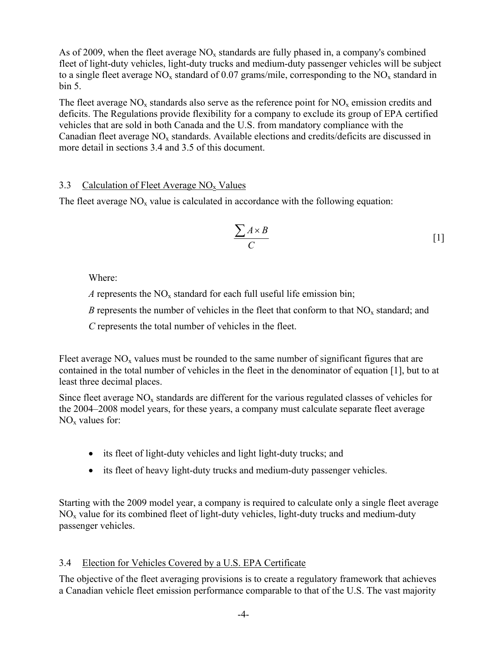As of 2009, when the fleet average  $NO<sub>x</sub>$  standards are fully phased in, a company's combined fleet of light-duty vehicles, light-duty trucks and medium-duty passenger vehicles will be subject to a single fleet average  $NO_x$  standard of 0.07 grams/mile, corresponding to the  $NO_x$  standard in bin 5.

The fleet average  $NO_x$  standards also serve as the reference point for  $NO_x$  emission credits and deficits. The Regulations provide flexibility for a company to exclude its group of EPA certified vehicles that are sold in both Canada and the U.S. from mandatory compliance with the Canadian fleet average NO<sub>x</sub> standards. Available elections and credits/deficits are discussed in more detail in sections 3.4 and 3.5 of this document.

## 3.3 Calculation of Fleet Average  $NO<sub>x</sub>$  Values

The fleet average  $NO<sub>x</sub>$  value is calculated in accordance with the following equation:

$$
\frac{\sum A \times B}{C} \tag{1}
$$

Where:

*A* represents the  $NO<sub>x</sub>$  standard for each full useful life emission bin;

*B* represents the number of vehicles in the fleet that conform to that  $NO<sub>x</sub>$  standard; and

 *C* represents the total number of vehicles in the fleet.

Fleet average  $NO<sub>x</sub>$  values must be rounded to the same number of significant figures that are contained in the total number of vehicles in the fleet in the denominator of equation [1], but to at least three decimal places.

Since fleet average  $NO<sub>x</sub>$  standards are different for the various regulated classes of vehicles for the 2004–2008 model years, for these years, a company must calculate separate fleet average  $NO<sub>x</sub>$  values for:

- its fleet of light-duty vehicles and light light-duty trucks; and
- its fleet of heavy light-duty trucks and medium-duty passenger vehicles.

Starting with the 2009 model year, a company is required to calculate only a single fleet average  $NO<sub>x</sub>$  value for its combined fleet of light-duty vehicles, light-duty trucks and medium-duty passenger vehicles.

## 3.4 Election for Vehicles Covered by a U.S. EPA Certificate

The objective of the fleet averaging provisions is to create a regulatory framework that achieves a Canadian vehicle fleet emission performance comparable to that of the U.S. The vast majority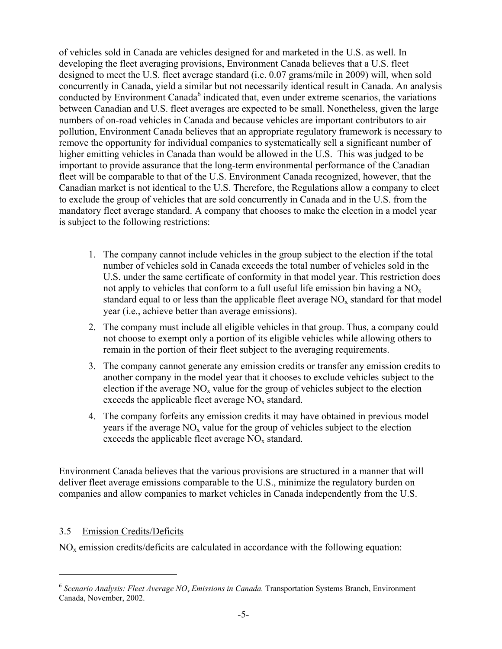of vehicles sold in Canada are vehicles designed for and marketed in the U.S. as well. In developing the fleet averaging provisions, Environment Canada believes that a U.S. fleet designed to meet the U.S. fleet average standard (i.e. 0.07 grams/mile in 2009) will, when sold concurrently in Canada, yield a similar but not necessarily identical result in Canada. An analysis conducted by Environment Canada<sup>6</sup> indicated that, even under extreme scenarios, the variations between Canadian and U.S. fleet averages are expected to be small. Nonetheless, given the large numbers of on-road vehicles in Canada and because vehicles are important contributors to air pollution, Environment Canada believes that an appropriate regulatory framework is necessary to remove the opportunity for individual companies to systematically sell a significant number of higher emitting vehicles in Canada than would be allowed in the U.S. This was judged to be important to provide assurance that the long-term environmental performance of the Canadian fleet will be comparable to that of the U.S. Environment Canada recognized, however, that the Canadian market is not identical to the U.S. Therefore, the Regulations allow a company to elect to exclude the group of vehicles that are sold concurrently in Canada and in the U.S. from the mandatory fleet average standard. A company that chooses to make the election in a model year is subject to the following restrictions:

- 1. The company cannot include vehicles in the group subject to the election if the total number of vehicles sold in Canada exceeds the total number of vehicles sold in the U.S. under the same certificate of conformity in that model year. This restriction does not apply to vehicles that conform to a full useful life emission bin having a  $NO<sub>x</sub>$ standard equal to or less than the applicable fleet average  $NO<sub>x</sub>$  standard for that model year (i.e., achieve better than average emissions).
- 2. The company must include all eligible vehicles in that group. Thus, a company could not choose to exempt only a portion of its eligible vehicles while allowing others to remain in the portion of their fleet subject to the averaging requirements.
- 3. The company cannot generate any emission credits or transfer any emission credits to another company in the model year that it chooses to exclude vehicles subject to the election if the average  $NO<sub>x</sub>$  value for the group of vehicles subject to the election exceeds the applicable fleet average  $NO<sub>x</sub>$  standard.
- 4. The company forfeits any emission credits it may have obtained in previous model years if the average  $NO<sub>x</sub>$  value for the group of vehicles subject to the election exceeds the applicable fleet average  $NO<sub>x</sub>$  standard.

Environment Canada believes that the various provisions are structured in a manner that will deliver fleet average emissions comparable to the U.S., minimize the regulatory burden on companies and allow companies to market vehicles in Canada independently from the U.S.

### 3.5 Emission Credits/Deficits

1

 $NO<sub>x</sub>$  emission credits/deficits are calculated in accordance with the following equation:

<sup>&</sup>lt;sup>6</sup> Scenario Analysis: Fleet Average NO<sub>x</sub> Emissions in Canada. Transportation Systems Branch, Environment Canada, November, 2002.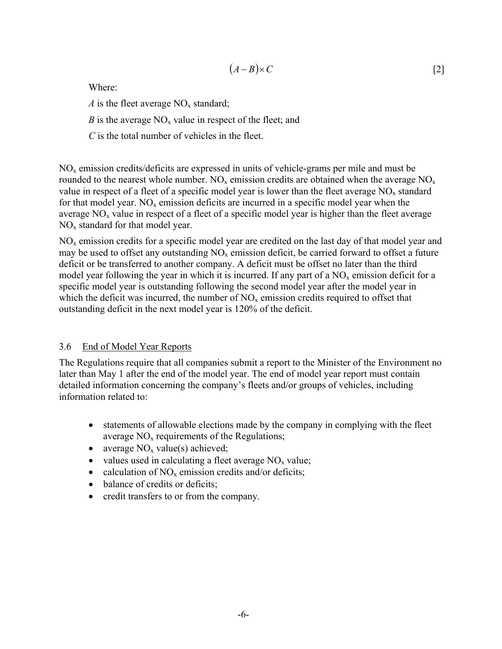$$
(A-B)\times C \tag{2}
$$

Where:

*A* is the fleet average  $NO<sub>x</sub>$  standard;

*B* is the average  $NO<sub>x</sub>$  value in respect of the fleet; and

*C* is the total number of vehicles in the fleet.

 $NO<sub>x</sub>$  emission credits/deficits are expressed in units of vehicle-grams per mile and must be rounded to the nearest whole number.  $NO_x$  emission credits are obtained when the average  $NO_x$ value in respect of a fleet of a specific model year is lower than the fleet average  $NO<sub>x</sub>$  standard for that model year.  $NO<sub>x</sub>$  emission deficits are incurred in a specific model year when the average  $NO<sub>x</sub>$  value in respect of a fleet of a specific model year is higher than the fleet average  $NO<sub>x</sub>$  standard for that model year.

NOx emission credits for a specific model year are credited on the last day of that model year and may be used to offset any outstanding  $NO<sub>x</sub>$  emission deficit, be carried forward to offset a future deficit or be transferred to another company. A deficit must be offset no later than the third model year following the year in which it is incurred. If any part of a  $NO<sub>x</sub>$  emission deficit for a specific model year is outstanding following the second model year after the model year in which the deficit was incurred, the number of  $NO<sub>x</sub>$  emission credits required to offset that outstanding deficit in the next model year is 120% of the deficit.

### 3.6 End of Model Year Reports

The Regulations require that all companies submit a report to the Minister of the Environment no later than May 1 after the end of the model year. The end of model year report must contain detailed information concerning the company's fleets and/or groups of vehicles, including information related to:

- statements of allowable elections made by the company in complying with the fleet average  $NO<sub>x</sub>$  requirements of the Regulations;
- average  $NO<sub>x</sub>$  value(s) achieved;
- values used in calculating a fleet average  $NO<sub>x</sub>$  value;
- calculation of  $NO<sub>x</sub>$  emission credits and/or deficits;
- balance of credits or deficits:
- credit transfers to or from the company.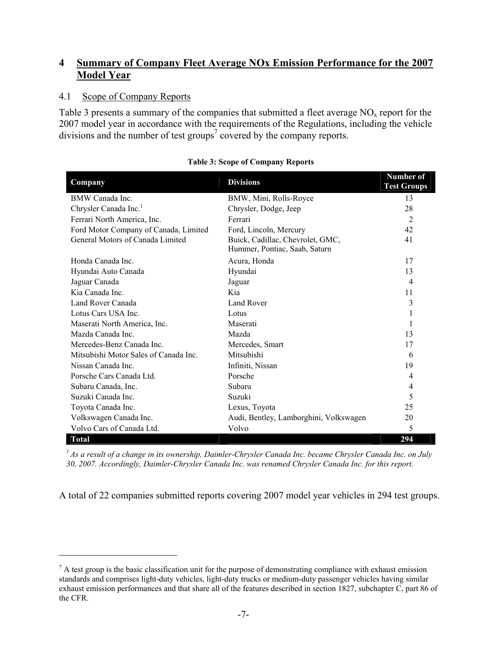## **4 Summary of Company Fleet Average NOx Emission Performance for the 2007 Model Year**

### 4.1 Scope of Company Reports

 $\overline{a}$ 

Table 3 presents a summary of the companies that submitted a fleet average  $NO<sub>x</sub>$  report for the 2007 model year in accordance with the requirements of the Regulations, including the vehicle divisions and the number of test groups<sup>7</sup> covered by the company reports.

| Company                               | <b>Divisions</b>                                                  | Number of<br><b>Test Groups</b> |
|---------------------------------------|-------------------------------------------------------------------|---------------------------------|
| BMW Canada Inc.                       | BMW, Mini, Rolls-Royce                                            | 13                              |
| Chrysler Canada Inc. <sup>1</sup>     | Chrysler, Dodge, Jeep                                             | 28                              |
| Ferrari North America, Inc.           | Ferrari                                                           | $\overline{2}$                  |
| Ford Motor Company of Canada, Limited | Ford, Lincoln, Mercury                                            | 42                              |
| General Motors of Canada Limited      | Buick, Cadillac, Chevrolet, GMC,<br>Hummer, Pontiac, Saab, Saturn | 41                              |
| Honda Canada Inc                      | Acura, Honda                                                      | 17                              |
| Hyundai Auto Canada                   | Hyundai                                                           | 13                              |
| Jaguar Canada                         | Jaguar                                                            | $\overline{4}$                  |
| Kia Canada Inc.                       | Kia                                                               | 11                              |
| Land Rover Canada                     | Land Rover                                                        | 3                               |
| Lotus Cars USA Inc.                   | Lotus                                                             |                                 |
| Maserati North America, Inc.          | Maserati                                                          |                                 |
| Mazda Canada Inc.                     | Mazda                                                             | 13                              |
| Mercedes-Benz Canada Inc.             | Mercedes, Smart                                                   | 17                              |
| Mitsubishi Motor Sales of Canada Inc. | Mitsubishi                                                        | 6                               |
| Nissan Canada Inc.                    | Infiniti, Nissan                                                  | 19                              |
| Porsche Cars Canada Ltd.              | Porsche                                                           | 4                               |
| Subaru Canada, Inc.                   | Subaru                                                            | 4                               |
| Suzuki Canada Inc.                    | Suzuki                                                            | 5                               |
| Toyota Canada Inc.                    | Lexus, Toyota                                                     | 25                              |
| Volkswagen Canada Inc.                | Audi, Bentley, Lamborghini, Volkswagen                            | 20                              |
| Volvo Cars of Canada Ltd.             | Volvo                                                             | 5                               |
| <b>Total</b>                          |                                                                   | 294                             |

### **Table 3: Scope of Company Reports**

*1 As a result of a change in its ownership, Daimler-Chrysler Canada Inc. became Chrysler Canada Inc. on July 30, 2007. Accordingly, Daimler-Chrysler Canada Inc. was renamed Chrysler Canada Inc. for this report.* 

A total of 22 companies submitted reports covering 2007 model year vehicles in 294 test groups.

 $<sup>7</sup>$  A test group is the basic classification unit for the purpose of demonstrating compliance with exhaust emission</sup> standards and comprises light-duty vehicles, light-duty trucks or medium-duty passenger vehicles having similar exhaust emission performances and that share all of the features described in section 1827, subchapter C, part 86 of the CFR.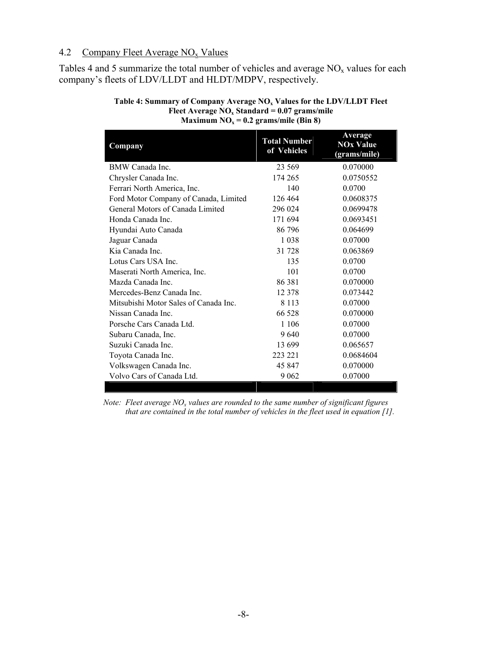### 4.2 Company Fleet Average  $NO<sub>x</sub>$  Values

Tables 4 and 5 summarize the total number of vehicles and average  $NO<sub>x</sub>$  values for each company's fleets of LDV/LLDT and HLDT/MDPV, respectively.

| Company                               | <b>Total Number</b><br>of Vehicles | Average<br><b>NOx Value</b><br>(grams/mile) |
|---------------------------------------|------------------------------------|---------------------------------------------|
| BMW Canada Inc.                       | 23 569                             | 0.070000                                    |
| Chrysler Canada Inc.                  | 174 265                            | 0.0750552                                   |
| Ferrari North America, Inc.           | 140                                | 0.0700                                      |
| Ford Motor Company of Canada, Limited | 126 464                            | 0.0608375                                   |
| General Motors of Canada Limited      | 296 024                            | 0.0699478                                   |
| Honda Canada Inc.                     | 171 694                            | 0.0693451                                   |
| Hyundai Auto Canada                   | 86 796                             | 0.064699                                    |
| Jaguar Canada                         | 1 0 3 8                            | 0.07000                                     |
| Kia Canada Inc.                       | 31 728                             | 0.063869                                    |
| Lotus Cars USA Inc.                   | 135                                | 0.0700                                      |
| Maserati North America, Inc.          | 101                                | 0.0700                                      |
| Mazda Canada Inc                      | 86 381                             | 0.070000                                    |
| Mercedes-Benz Canada Inc.             | 12 378                             | 0.073442                                    |
| Mitsubishi Motor Sales of Canada Inc. | 8 1 1 3                            | 0.07000                                     |
| Nissan Canada Inc.                    | 66 528                             | 0.070000                                    |
| Porsche Cars Canada Ltd.              | 1 1 0 6                            | 0.07000                                     |
| Subaru Canada, Inc.                   | 9640                               | 0.07000                                     |
| Suzuki Canada Inc.                    | 13 699                             | 0.065657                                    |
| Toyota Canada Inc.                    | 223 221                            | 0.0684604                                   |
| Volkswagen Canada Inc.                | 45 847                             | 0.070000                                    |
| Volvo Cars of Canada Ltd.             | 9 0 6 2                            | 0.07000                                     |

#### Table 4: Summary of Company Average NO<sub>x</sub> Values for the LDV/LLDT Fleet **Fleet Average NOx Standard = 0.07 grams/mile Maximum NO<sub>x</sub> = 0.2 grams/mile (Bin 8)**

*Note: Fleet average*  $NO<sub>x</sub>$  *values are rounded to the same number of significant figures that are contained in the total number of vehicles in the fleet used in equation [1].*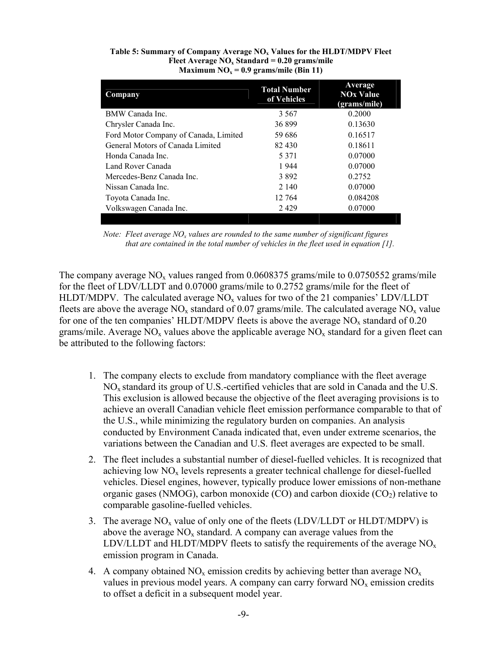| Company                               | <b>Total Number</b><br>of Vehicles | Average<br><b>NOx Value</b><br>(grams/mile) |
|---------------------------------------|------------------------------------|---------------------------------------------|
| BMW Canada Inc.                       | 3 5 6 7                            | 0.2000                                      |
| Chrysler Canada Inc.                  | 36899                              | 0.13630                                     |
| Ford Motor Company of Canada, Limited | 59 686                             | 0.16517                                     |
| General Motors of Canada Limited      | 82 430                             | 0.18611                                     |
| Honda Canada Inc                      | 5 3 7 1                            | 0.07000                                     |
| Land Rover Canada                     | 1944                               | 0.07000                                     |
| Mercedes-Benz Canada Inc.             | 3892                               | 0.2752                                      |
| Nissan Canada Inc.                    | 2 1 4 0                            | 0.07000                                     |
| Toyota Canada Inc.                    | 12 764                             | 0.084208                                    |
| Volkswagen Canada Inc.                | 2429                               | 0.07000                                     |
|                                       |                                    |                                             |

#### Table 5: Summary of Company Average NO<sub>x</sub> Values for the HLDT/MDPV Fleet Fleet Average NO<sub>x</sub> Standard = 0.20 grams/mile Maximum  $NO<sub>x</sub> = 0.9$  grams/mile (Bin 11)

*Note: Fleet average NO<sub>x</sub> values are rounded to the same number of significant figures that are contained in the total number of vehicles in the fleet used in equation [1].* 

The company average  $NO<sub>x</sub>$  values ranged from 0.0608375 grams/mile to 0.0750552 grams/mile for the fleet of LDV/LLDT and 0.07000 grams/mile to 0.2752 grams/mile for the fleet of HLDT/MDPV. The calculated average  $NO<sub>x</sub>$  values for two of the 21 companies' LDV/LLDT fleets are above the average  $NO<sub>x</sub>$  standard of 0.07 grams/mile. The calculated average  $NO<sub>x</sub>$  value for one of the ten companies' HLDT/MDPV fleets is above the average  $NO<sub>x</sub>$  standard of 0.20 grams/mile. Average  $NO<sub>x</sub>$  values above the applicable average  $NO<sub>x</sub>$  standard for a given fleet can be attributed to the following factors:

- 1. The company elects to exclude from mandatory compliance with the fleet average  $NO<sub>x</sub>$  standard its group of U.S.-certified vehicles that are sold in Canada and the U.S. This exclusion is allowed because the objective of the fleet averaging provisions is to achieve an overall Canadian vehicle fleet emission performance comparable to that of the U.S., while minimizing the regulatory burden on companies. An analysis conducted by Environment Canada indicated that, even under extreme scenarios, the variations between the Canadian and U.S. fleet averages are expected to be small.
- 2. The fleet includes a substantial number of diesel-fuelled vehicles. It is recognized that achieving low  $NO<sub>x</sub>$  levels represents a greater technical challenge for diesel-fuelled vehicles. Diesel engines, however, typically produce lower emissions of non-methane organic gases (NMOG), carbon monoxide (CO) and carbon dioxide ( $CO<sub>2</sub>$ ) relative to comparable gasoline-fuelled vehicles.
- 3. The average  $NO<sub>x</sub>$  value of only one of the fleets (LDV/LLDT or HLDT/MDPV) is above the average  $NO<sub>x</sub>$  standard. A company can average values from the LDV/LLDT and HLDT/MDPV fleets to satisfy the requirements of the average  $NO<sub>x</sub>$ emission program in Canada.
- 4. A company obtained  $NO_x$  emission credits by achieving better than average  $NO_x$ values in previous model years. A company can carry forward  $NO<sub>x</sub>$  emission credits to offset a deficit in a subsequent model year.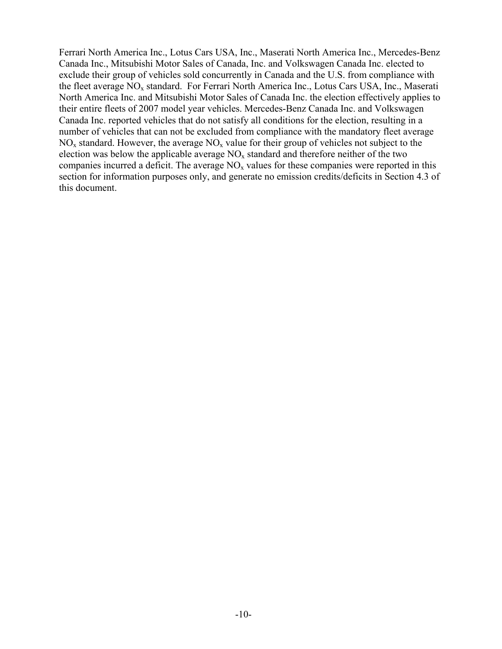Ferrari North America Inc., Lotus Cars USA, Inc., Maserati North America Inc., Mercedes-Benz Canada Inc., Mitsubishi Motor Sales of Canada, Inc. and Volkswagen Canada Inc. elected to exclude their group of vehicles sold concurrently in Canada and the U.S. from compliance with the fleet average NO<sub>x</sub> standard. For Ferrari North America Inc., Lotus Cars USA, Inc., Maserati North America Inc. and Mitsubishi Motor Sales of Canada Inc. the election effectively applies to their entire fleets of 2007 model year vehicles. Mercedes-Benz Canada Inc. and Volkswagen Canada Inc. reported vehicles that do not satisfy all conditions for the election, resulting in a number of vehicles that can not be excluded from compliance with the mandatory fleet average  $NO<sub>x</sub>$  standard. However, the average  $NO<sub>x</sub>$  value for their group of vehicles not subject to the election was below the applicable average  $NO<sub>x</sub>$  standard and therefore neither of the two companies incurred a deficit. The average  $NO<sub>x</sub>$  values for these companies were reported in this section for information purposes only, and generate no emission credits/deficits in Section 4.3 of this document.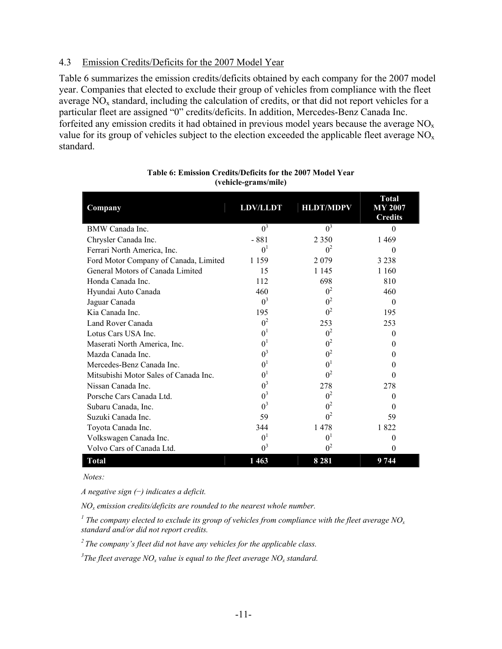### 4.3 Emission Credits/Deficits for the 2007 Model Year

Table 6 summarizes the emission credits/deficits obtained by each company for the 2007 model year. Companies that elected to exclude their group of vehicles from compliance with the fleet average  $NO<sub>x</sub>$  standard, including the calculation of credits, or that did not report vehicles for a particular fleet are assigned "0" credits/deficits. In addition, Mercedes-Benz Canada Inc. forfeited any emission credits it had obtained in previous model years because the average  $NO<sub>x</sub>$ value for its group of vehicles subject to the election exceeded the applicable fleet average  $NO<sub>x</sub>$ standard.

| Company                               | <b>LDV/LLDT</b> | <b>HLDT/MDPV</b> | <b>Total</b><br><b>MY 2007</b><br><b>Credits</b> |
|---------------------------------------|-----------------|------------------|--------------------------------------------------|
| BMW Canada Inc.                       | $0^3$           | $0^3$            | 0                                                |
| Chrysler Canada Inc.                  | - 881           | 2 3 5 0          | 1469                                             |
| Ferrari North America, Inc.           | 0 <sup>1</sup>  | $0^2$            | $\Omega$                                         |
| Ford Motor Company of Canada, Limited | 1 1 5 9         | 2079             | 3 2 3 8                                          |
| General Motors of Canada Limited      | 15              | 1 1 4 5          | 1 1 6 0                                          |
| Honda Canada Inc.                     | 112             | 698              | 810                                              |
| Hyundai Auto Canada                   | 460             | 0 <sup>2</sup>   | 460                                              |
| Jaguar Canada                         | $0^3$           | 0 <sup>2</sup>   | $\theta$                                         |
| Kia Canada Inc.                       | 195             | $0^2$            | 195                                              |
| Land Rover Canada                     | 0 <sup>2</sup>  | 253              | 253                                              |
| Lotus Cars USA Inc.                   | 0 <sup>1</sup>  | 0 <sup>2</sup>   | $\Omega$                                         |
| Maserati North America, Inc.          | 0 <sup>1</sup>  | $0^2$            | $\theta$                                         |
| Mazda Canada Inc.                     | $0^3$           | 0 <sup>2</sup>   | 0                                                |
| Mercedes-Benz Canada Inc.             | 0 <sup>1</sup>  | 0 <sup>1</sup>   | $\Omega$                                         |
| Mitsubishi Motor Sales of Canada Inc. | 0 <sup>1</sup>  | 0 <sup>2</sup>   | 0                                                |
| Nissan Canada Inc.                    | $0^3$           | 278              | 278                                              |
| Porsche Cars Canada Ltd.              | $0^3$           | 0 <sup>2</sup>   | $\Omega$                                         |
| Subaru Canada, Inc.                   | $0^3$           | $0^2$            | $\Omega$                                         |
| Suzuki Canada Inc.                    | 59              | 0 <sup>2</sup>   | 59                                               |
| Toyota Canada Inc.                    | 344             | 1478             | 1822                                             |
| Volkswagen Canada Inc.                | 0 <sup>1</sup>  | $0^1$            | $\theta$                                         |
| Volvo Cars of Canada Ltd.             | $0^3$           | 0 <sup>2</sup>   | 0                                                |
| <b>Total</b>                          | 1463            | 8 2 8 1          | 9 744                                            |

#### **Table 6: Emission Credits/Deficits for the 2007 Model Year (vehicle-grams/mile)**

 *Notes:* 

*A negative sign (*−*) indicates a deficit.* 

*NOx emission credits/deficits are rounded to the nearest whole number.* 

<sup>1</sup> The company elected to exclude its group of vehicles from compliance with the fleet average NO<sub>x</sub> *standard and/or did not report credits.* 

*2 The company's fleet did not have any vehicles for the applicable class.* 

<sup>3</sup>The fleet average  $NO_x$  value is equal to the fleet average  $NO_x$  standard.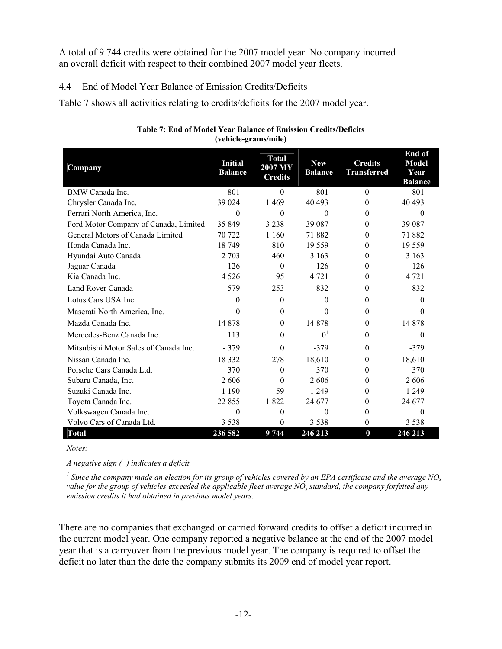A total of 9 744 credits were obtained for the 2007 model year. No company incurred an overall deficit with respect to their combined 2007 model year fleets.

### 4.4 End of Model Year Balance of Emission Credits/Deficits

Table 7 shows all activities relating to credits/deficits for the 2007 model year.

| Company                               | <b>Initial</b><br><b>Balance</b> | <b>Total</b><br>2007 MY<br><b>Credits</b> | <b>New</b><br><b>Balance</b> | <b>Credits</b><br><b>Transferred</b> | End of<br><b>Model</b><br>Year<br><b>Balance</b> |
|---------------------------------------|----------------------------------|-------------------------------------------|------------------------------|--------------------------------------|--------------------------------------------------|
| BMW Canada Inc.                       | 801                              | $\Omega$                                  | 801                          | $\Omega$                             | 801                                              |
| Chrysler Canada Inc.                  | 39 024                           | 1469                                      | 40 493                       | $\theta$                             | 40 493                                           |
| Ferrari North America, Inc.           | $\Omega$                         | $\Omega$                                  | $\Omega$                     | $\Omega$                             | $\Omega$                                         |
| Ford Motor Company of Canada, Limited | 35 849                           | 3 2 3 8                                   | 39 087                       | $\Omega$                             | 39 087                                           |
| General Motors of Canada Limited      | 70 722                           | 1 1 6 0                                   | 71 882                       | $\Omega$                             | 71882                                            |
| Honda Canada Inc.                     | 18749                            | 810                                       | 19 5 5 9                     | $\theta$                             | 19559                                            |
| Hyundai Auto Canada                   | 2 7 0 3                          | 460                                       | 3 1 6 3                      | 0                                    | 3 1 6 3                                          |
| Jaguar Canada                         | 126                              | $\Omega$                                  | 126                          | $\Omega$                             | 126                                              |
| Kia Canada Inc.                       | 4 5 2 6                          | 195                                       | 4 7 2 1                      | $\theta$                             | 4 7 2 1                                          |
| Land Rover Canada                     | 579                              | 253                                       | 832                          | $\Omega$                             | 832                                              |
| Lotus Cars USA Inc.                   | $\Omega$                         | $\Omega$                                  | $\theta$                     | $\Omega$                             | $\Omega$                                         |
| Maserati North America, Inc.          | $\Omega$                         | $\theta$                                  | $\Omega$                     | $\theta$                             | $\Omega$                                         |
| Mazda Canada Inc.                     | 14 878                           | $\theta$                                  | 14 878                       | $\theta$                             | 14 878                                           |
| Mercedes-Benz Canada Inc.             | 113                              | $\Omega$                                  | 0 <sup>1</sup>               | $\Omega$                             | $\Omega$                                         |
| Mitsubishi Motor Sales of Canada Inc. | $-379$                           | $\Omega$                                  | $-379$                       | $\theta$                             | $-379$                                           |
| Nissan Canada Inc.                    | 18 3 3 2                         | 278                                       | 18,610                       | $\theta$                             | 18,610                                           |
| Porsche Cars Canada Ltd.              | 370                              | $\Omega$                                  | 370                          | $\theta$                             | 370                                              |
| Subaru Canada, Inc.                   | 2606                             | $\Omega$                                  | 2606                         | 0                                    | 2606                                             |
| Suzuki Canada Inc.                    | 1 1 9 0                          | 59                                        | 1 2 4 9                      | $\Omega$                             | 1 2 4 9                                          |
| Toyota Canada Inc.                    | 22 855                           | 1822                                      | 24 677                       | $\theta$                             | 24 677                                           |
| Volkswagen Canada Inc.                | 0                                | $\theta$                                  | $\theta$                     | $\theta$                             | $\theta$                                         |
| Volvo Cars of Canada Ltd.             | 3 5 3 8                          | 0                                         | 3 5 3 8                      | $\theta$                             | 3 5 3 8                                          |
| <b>Total</b>                          | 236 582                          | 9744                                      | 246 213                      | $\bf{0}$                             | 246 213                                          |

#### **Table 7: End of Model Year Balance of Emission Credits/Deficits (vehicle-grams/mile)**

*Notes:* 

*A negative sign (*−*) indicates a deficit.* 

<sup>1</sup> Since the company made an election for its group of vehicles covered by an EPA certificate and the average NO<sub>x</sub> value for the group of vehicles exceeded the applicable fleet average NO<sub>x</sub> standard, the company forfeited any *emission credits it had obtained in previous model years.* 

There are no companies that exchanged or carried forward credits to offset a deficit incurred in the current model year. One company reported a negative balance at the end of the 2007 model year that is a carryover from the previous model year. The company is required to offset the deficit no later than the date the company submits its 2009 end of model year report.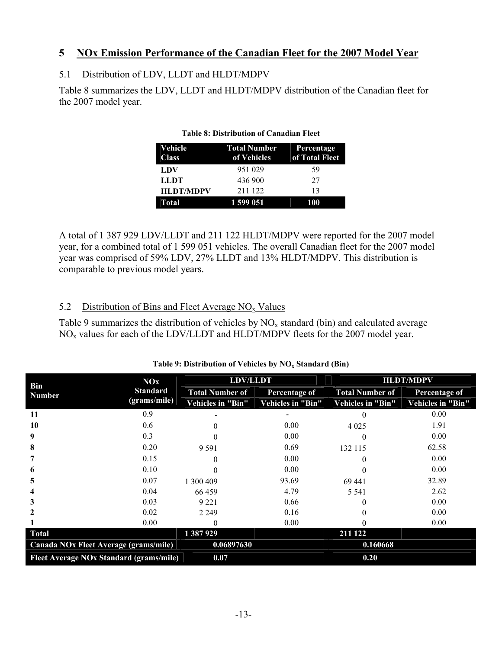## **5 NOx Emission Performance of the Canadian Fleet for the 2007 Model Year**

## 5.1 Distribution of LDV, LLDT and HLDT/MDPV

Table 8 summarizes the LDV, LLDT and HLDT/MDPV distribution of the Canadian fleet for the 2007 model year.

| Vehicle<br><b>Class</b> | Total Number Percentage<br>of Vehicles | of Total Fleet |
|-------------------------|----------------------------------------|----------------|
| LDV                     | 951 029                                | 59             |
| <b>LLDT</b>             | 436 900                                | 27             |
| <b>HLDT/MDPV</b>        | 211 122                                | 13             |
| Total                   | 1 599 051                              | 100            |

#### **Table 8: Distribution of Canadian Fleet**

A total of 1 387 929 LDV/LLDT and 211 122 HLDT/MDPV were reported for the 2007 model year, for a combined total of 1 599 051 vehicles. The overall Canadian fleet for the 2007 model year was comprised of 59% LDV, 27% LLDT and 13% HLDT/MDPV. This distribution is comparable to previous model years.

## 5.2 Distribution of Bins and Fleet Average  $NO<sub>x</sub>$  Values

Table 9 summarizes the distribution of vehicles by  $NO<sub>x</sub>$  standard (bin) and calculated average NOx values for each of the LDV/LLDT and HLDT/MDPV fleets for the 2007 model year.

|                                         | NOx             | <b>LDV/LLDT</b>        |                   | <b>HLDT/MDPV</b>       |                   |
|-----------------------------------------|-----------------|------------------------|-------------------|------------------------|-------------------|
| Bin<br><b>Number</b>                    | <b>Standard</b> | <b>Total Number of</b> | Percentage of     | <b>Total Number of</b> | Percentage of     |
|                                         | (grams/mile)    | Vehicles in "Bin"      | Vehicles in "Bin" | Vehicles in "Bin"      | Vehicles in "Bin" |
| 11                                      | 0.9             |                        |                   | $\Omega$               | 0.00              |
| 10                                      | 0.6             |                        | 0.00              | 4 0 2 5                | 1.91              |
| 9                                       | 0.3             |                        | 0.00              |                        | 0.00              |
| 8                                       | 0.20            | 9 5 9 1                | 0.69              | 132 115                | 62.58             |
|                                         | 0.15            | $\theta$               | 0.00              |                        | 0.00              |
| o                                       | 0.10            |                        | 0.00              |                        | 0.00              |
| 5                                       | 0.07            | 300 409                | 93.69             | 69 441                 | 32.89             |
|                                         | 0.04            | 66459                  | 4.79              | 5 5 4 1                | 2.62              |
|                                         | 0.03            | 9 2 2 1                | 0.66              |                        | 0.00              |
|                                         | 0.02            | 2 2 4 9                | 0.16              |                        | 0.00              |
|                                         | 0.00            |                        | 0.00              |                        | 0.00              |
| <b>Total</b>                            |                 | 1 387 929              |                   | 211 122                |                   |
| Canada NOx Fleet Average (grams/mile)   |                 | 0.06897630             |                   | 0.160668               |                   |
| Fleet Average NOx Standard (grams/mile) |                 | 0.07                   |                   | 0.20                   |                   |

### Table 9: Distribution of Vehicles by NO<sub>x</sub> Standard (Bin)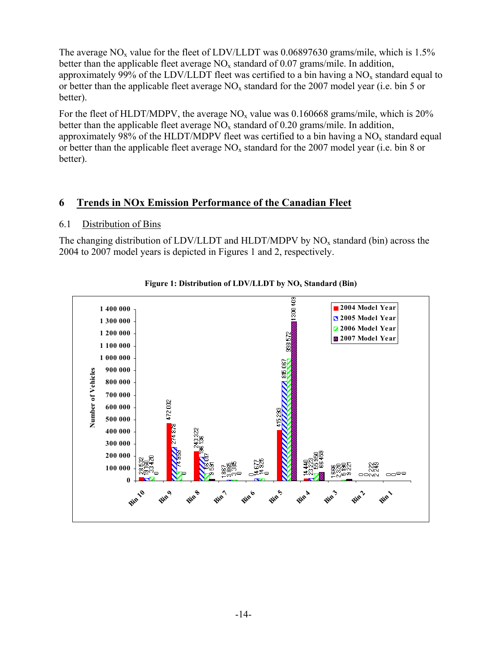The average NO<sub>x</sub> value for the fleet of LDV/LLDT was 0.06897630 grams/mile, which is 1.5% better than the applicable fleet average  $NO_x$  standard of 0.07 grams/mile. In addition, approximately 99% of the LDV/LLDT fleet was certified to a bin having a  $NO<sub>x</sub>$  standard equal to or better than the applicable fleet average  $NO<sub>x</sub>$  standard for the 2007 model year (i.e. bin 5 or better).

For the fleet of HLDT/MDPV, the average  $NO<sub>x</sub>$  value was 0.160668 grams/mile, which is 20% better than the applicable fleet average  $NO_x$  standard of 0.20 grams/mile. In addition, approximately 98% of the HLDT/MDPV fleet was certified to a bin having a  $NO<sub>x</sub>$  standard equal or better than the applicable fleet average  $NO_x$  standard for the 2007 model year (i.e. bin 8 or better).

## **6 Trends in NOx Emission Performance of the Canadian Fleet**

### 6.1 Distribution of Bins

The changing distribution of LDV/LLDT and HLDT/MDPV by  $NO<sub>x</sub>$  standard (bin) across the 2004 to 2007 model years is depicted in Figures 1 and 2, respectively.



Figure 1: Distribution of LDV/LLDT by NO<sub>x</sub> Standard (Bin)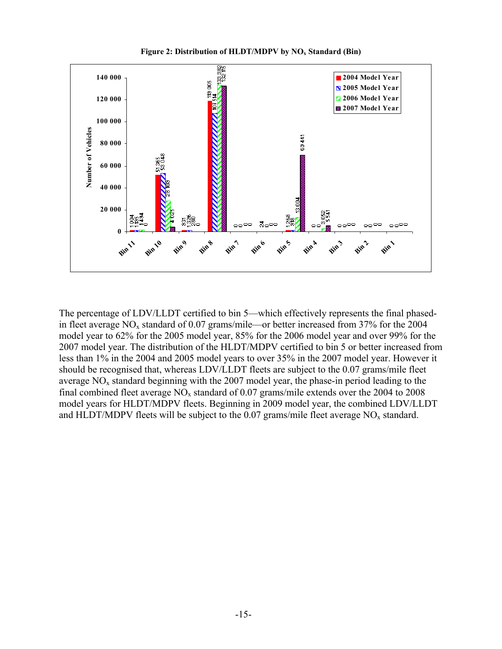**Figure 2: Distribution of HLDT/MDPV by NO<sub>x</sub> Standard (Bin)** 



The percentage of LDV/LLDT certified to bin 5—which effectively represents the final phasedin fleet average  $NO<sub>x</sub>$  standard of 0.07 grams/mile—or better increased from 37% for the 2004 model year to 62% for the 2005 model year, 85% for the 2006 model year and over 99% for the 2007 model year. The distribution of the HLDT/MDPV certified to bin 5 or better increased from less than 1% in the 2004 and 2005 model years to over 35% in the 2007 model year. However it should be recognised that, whereas LDV/LLDT fleets are subject to the 0.07 grams/mile fleet average  $NO<sub>x</sub>$  standard beginning with the 2007 model year, the phase-in period leading to the final combined fleet average  $NO_x$  standard of 0.07 grams/mile extends over the 2004 to 2008 model years for HLDT/MDPV fleets. Beginning in 2009 model year, the combined LDV/LLDT and HLDT/MDPV fleets will be subject to the 0.07 grams/mile fleet average  $NO<sub>x</sub>$  standard.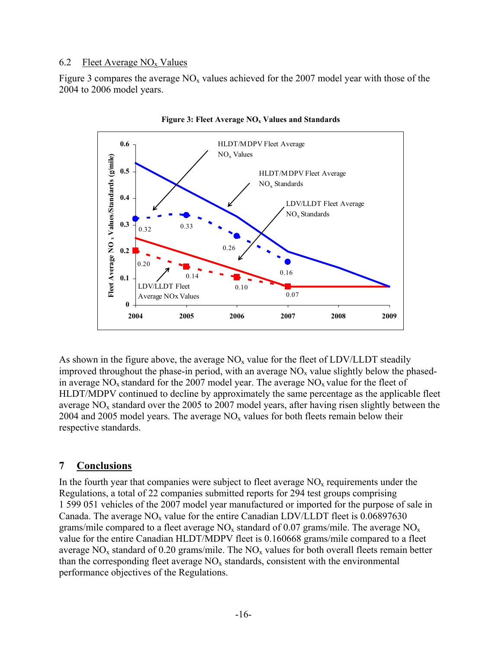### 6.2 Fleet Average  $NO<sub>x</sub>$  Values

Figure 3 compares the average  $NO<sub>x</sub>$  values achieved for the 2007 model year with those of the 2004 to 2006 model years.





As shown in the figure above, the average  $NO<sub>x</sub>$  value for the fleet of LDV/LLDT steadily improved throughout the phase-in period, with an average  $NO<sub>x</sub>$  value slightly below the phasedin average  $NO<sub>x</sub>$  standard for the 2007 model year. The average  $NO<sub>x</sub>$  value for the fleet of HLDT/MDPV continued to decline by approximately the same percentage as the applicable fleet average  $NO<sub>x</sub>$  standard over the 2005 to 2007 model years, after having risen slightly between the 2004 and 2005 model years. The average  $NO<sub>x</sub>$  values for both fleets remain below their respective standards.

## **7 Conclusions**

In the fourth year that companies were subject to fleet average  $NO<sub>x</sub>$  requirements under the Regulations, a total of 22 companies submitted reports for 294 test groups comprising 1 599 051 vehicles of the 2007 model year manufactured or imported for the purpose of sale in Canada. The average  $NO<sub>x</sub>$  value for the entire Canadian LDV/LLDT fleet is 0.06897630 grams/mile compared to a fleet average  $NO<sub>x</sub>$  standard of 0.07 grams/mile. The average  $NO<sub>x</sub>$ value for the entire Canadian HLDT/MDPV fleet is 0.160668 grams/mile compared to a fleet average  $NO<sub>x</sub>$  standard of 0.20 grams/mile. The  $NO<sub>x</sub>$  values for both overall fleets remain better than the corresponding fleet average  $NO<sub>x</sub>$  standards, consistent with the environmental performance objectives of the Regulations.